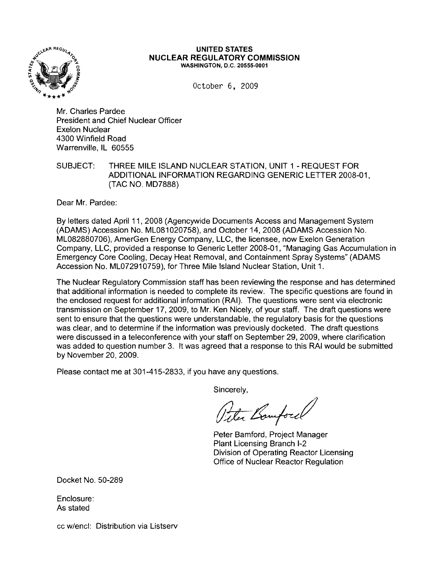

#### **UNITED STATES NUCLEAR REGULATORY COMMISSION** WASHINGTON, D.C. 20555-0001

October 6, 2009

Mr. Charles Pardee President and Chief Nuclear Officer Exelon Nuclear 4300 Winfield Road Warrenville, IL 60555

SUBJECT: THREE MILE ISLAND NUCLEAR STATION, UNIT 1 - REQUEST FOR ADDITIONAL INFORMATION REGARDING GENERIC LETTER 2008-01, (TAC NO. MD7888)

Dear Mr. Pardee:

By letters dated April 11, 2008 (Agencywide Documents Access and Management System (ADAMS) Accession No. ML081020758), and October 14, 2008 (ADAMS Accession No. ML082880706), AmerGen Energy Company, LLC, the licensee, now Exelon Generation Company, LLC, provided a response to Generic Letter 2008-01 , "Managing Gas Accumulation in Emergency Core Cooling, Decay Heat Removal, and Containment Spray Systems" (ADAMS Accession No. ML072910759), for Three Mile Island Nuclear Station, Unit 1.

The Nuclear Regulatory Commission staff has been reviewing the response and has determined that additional information is needed to complete its review. The specific questions are found in the enclosed request for additional information (RAI). The questions were sent via electronic transmission on September 17, 2009, to Mr. Ken Nicely, of your staff. The draft questions were sent to ensure that the questions were understandable, the regulatory basis for the questions was clear, and to determine if the information was previously docketed. The draft questions were discussed in a teleconference with your staff on September 29, 2009, where clarification was added to question number 3. It was agreed that a response to this RAI would be submitted by November 20,2009.

Please contact me at 301-415-2833, if you have any questions.

Sincerely,

Viter Bomford

Peter Bamford, Project Manager Plant Licensing Branch 1-2 Division of Operating Reactor Licensing Office of Nuclear Reactor Regulation

Docket No. 50-289

Enclosure: As stated

cc w/encl: Distribution via Listserv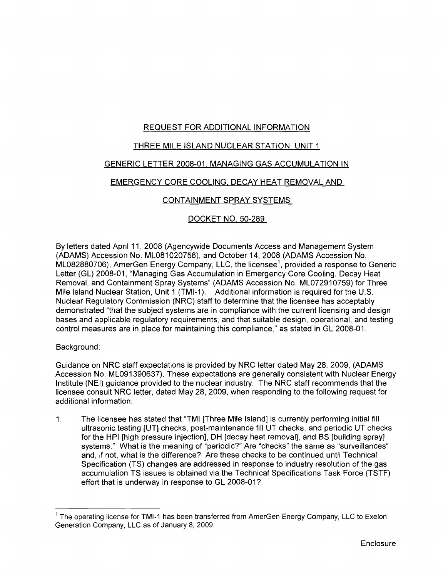# REQUEST FOR ADDITIONAL INFORMATION

# THREE MILE ISLAND NUCLEAR STATION, UNIT 1

# GENERIC LETTER 2008-01, MANAGING GAS ACCUMULATION IN

# EMERGENCY CORE COOLING, DECAY HEAT REMOVAL AND

# CONTAINMENT SPRAY SYSTEMS

# DOCKET NO. 50-289

By letters dated April 11, 2008 (Agencywide Documents Access and Management System (ADAMS) Accession No. ML081 020758), and October 14, 2008 (ADAMS Accession No.  $ML082880706$ ), AmerGen Energy Company, LLC, the licensee<sup>1</sup>, provided a response to Generic Letter (GL) 2008-01, "Managing Gas Accumulation in Emergency Core Cooling, Decay Heat Removal, and Containment Spray Systems" (ADAMS Accession No. ML072910759) for Three Mile Island Nuclear Station, Unit 1 (TMI-1). Additional information is required for the U.S. Nuclear Regulatory Commission (NRC) staff to determine that the licensee has acceptably demonstrated "that the subject systems are in compliance with the current licensing and design bases and applicable regulatory requirements, and that suitable design, operational, and testing control measures are in place for maintaining this compliance," as stated in GL 2008-01.

### Background:

Guidance on NRC staff expectations is provided by NRC letter dated May 28, 2009, (ADAMS Accession No. ML091390637). These expectations are generally consistent with Nuclear Energy Institute (NEI) guidance provided to the nuclear industry. The NRC staff recommends that the licensee consult NRC letter, dated May 28, 2009, when responding to the following request for additional information:

1. The licensee has stated that "TMI [Three Mile Island] is currently performing initial fill ultrasonic testing [UT] checks, post-maintenance fill UT checks, and periodic UT checks for the HPI [high pressure injection], DH [decay heat removal], and BS [building spray] systems." What is the meaning of "periodic?" Are "checks" the same as "surveillances" and, if not, what is the difference? Are these checks to be continued until Technical Specification (TS) changes are addressed in response to industry resolution of the gas accumulation TS issues is obtained via the Technical Specifications Task Force (TSTF) effort that is underway in response to GL 2008-01?

<sup>&</sup>lt;sup>1</sup> The operating license for TMI-1 has been transferred from AmerGen Energy Company, LLC to Exelon Generation Company, LLC as of January 8, 2009.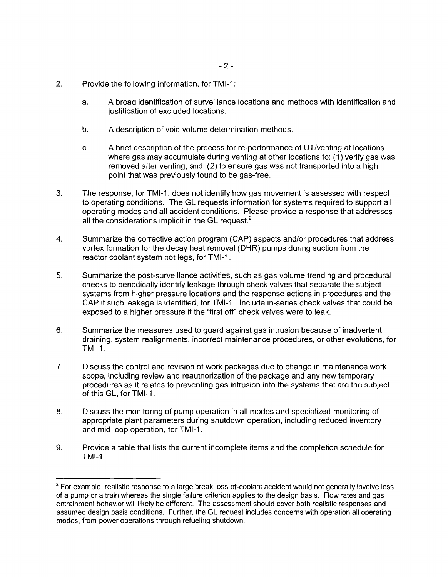- 2. Provide the following information, for TMI-1:
	- a. A broad identification of surveillance locations and methods with identification and justification of excluded locations.
	- b. A description of void volume determination methods.
	- c. A brief description of the process for re-performance of UT/venting at locations where gas may accumulate during venting at other locations to: (1) verify gas was removed after venting; and, (2) to ensure gas was not transported into a high point that was previously found to be gas-free.
- 3. The response, for TMI-1, does not identify how gas movement is assessed with respect to operating conditions. The GL requests information for systems required to support all operating modes and all accident conditions. Please provide a response that addresses all the considerations implicit in the GL request.<sup>2</sup>
- 4. Summarize the corrective action program (CAP) aspects and/or procedures that address vortex formation for the decay heat removal (DHR) pumps during suction from the reactor coolant system hot legs, for TMI-1.
- 5. Summarize the post-surveillance activities, such as gas volume trending and procedural checks to periodically identify leakage through check valves that separate the subject systems from higher pressure locations and the response actions in procedures and the CAP if such leakage is identified, for TMI-1. Include in-series check valves that could be exposed to a higher pressure if the "first off' check valves were to leak.
- 6. Summarize the measures used to guard against gas intrusion because of inadvertent draining, system realignments, incorrect maintenance procedures, or other evolutions, for TMI-1.
- 7. Discuss the control and revision of work packages due to change in maintenance work scope, including review and reauthorization of the package and any new temporary procedures as it relates to preventing gas intrusion into the systems that are the subject of this GL, for TMI-1.
- 8. Discuss the monitoring of pump operation in all modes and specialized monitoring of appropriate plant parameters during shutdown operation, including reduced inventory and mid-loop operation, for TMI-1.
- 9. Provide a table that lists the current incomplete items and the completion schedule for TMI-1.

<sup>&</sup>lt;sup>2</sup> For example, realistic response to a large break loss-of-coolant accident would not generally involve loss of a pump or a train whereas the single failure criterion applies to the design basis. Flow rates and gas entrainment behavior will likely be different. The assessment should cover both realistic responses and assumed design basis conditions. Further, the GL request includes concerns with operation all operating modes. from power operations through refueling shutdown.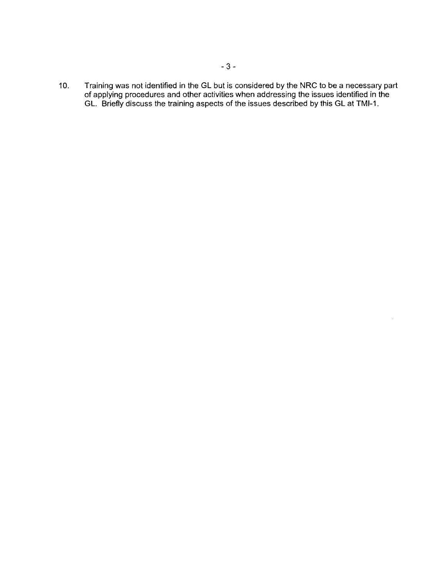10. Training was not identified in the GL but is considered by the NRC to be a necessary part of applying procedures and other activities when addressing the issues identified in the GL. Briefly discuss the training aspects of the issues described by this GL at TMI-1.